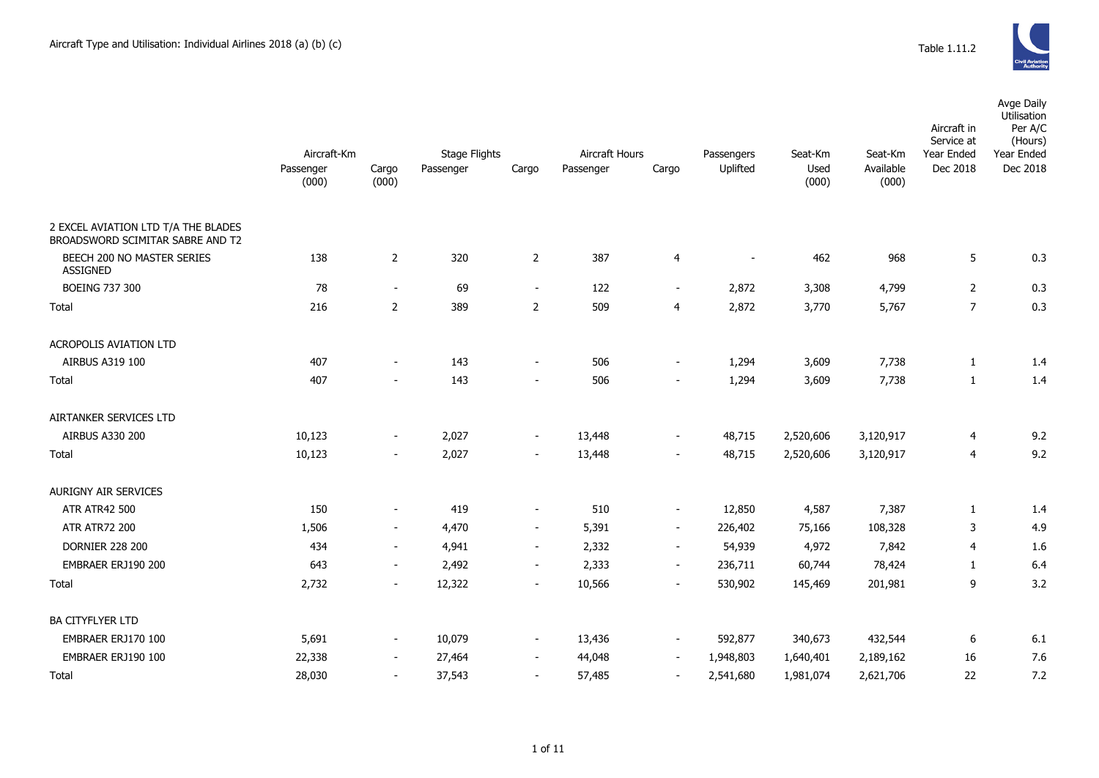

|                                                                         |                    |                          |                      |                          |                |                          |            |               |                    | Aircraft in<br>Service at | Avge Daily<br>Utilisation<br>Per A/C<br>(Hours) |  |
|-------------------------------------------------------------------------|--------------------|--------------------------|----------------------|--------------------------|----------------|--------------------------|------------|---------------|--------------------|---------------------------|-------------------------------------------------|--|
|                                                                         | Aircraft-Km        |                          | <b>Stage Flights</b> |                          | Aircraft Hours |                          | Passengers | Seat-Km       | Seat-Km            | Year Ended                | Year Ended                                      |  |
|                                                                         | Passenger<br>(000) | Cargo<br>(000)           | Passenger            | Cargo                    | Passenger      | Cargo                    | Uplifted   | Used<br>(000) | Available<br>(000) | Dec 2018                  | Dec 2018                                        |  |
| 2 EXCEL AVIATION LTD T/A THE BLADES<br>BROADSWORD SCIMITAR SABRE AND T2 |                    |                          |                      |                          |                |                          |            |               |                    |                           |                                                 |  |
| BEECH 200 NO MASTER SERIES<br><b>ASSIGNED</b>                           | 138                | $\overline{2}$           | 320                  | $\overline{2}$           | 387            | 4                        | $\sim$     | 462           | 968                | 5                         | 0.3                                             |  |
| <b>BOEING 737 300</b>                                                   | 78                 | $\sim$                   | 69                   | $\blacksquare$           | 122            | $\blacksquare$           | 2,872      | 3,308         | 4,799              | $\overline{2}$            | 0.3                                             |  |
| Total                                                                   | 216                | $\overline{2}$           | 389                  | $\overline{2}$           | 509            | 4                        | 2,872      | 3,770         | 5,767              | $\overline{7}$            | 0.3                                             |  |
| <b>ACROPOLIS AVIATION LTD</b>                                           |                    |                          |                      |                          |                |                          |            |               |                    |                           |                                                 |  |
| AIRBUS A319 100                                                         | 407                |                          | 143                  | $\overline{\phantom{a}}$ | 506            | $\overline{\phantom{a}}$ | 1,294      | 3,609         | 7,738              | 1                         | 1.4                                             |  |
| Total                                                                   | 407                | $\sim$                   | 143                  | $\blacksquare$           | 506            | $\blacksquare$           | 1,294      | 3,609         | 7,738              | $\mathbf{1}$              | 1.4                                             |  |
| AIRTANKER SERVICES LTD                                                  |                    |                          |                      |                          |                |                          |            |               |                    |                           |                                                 |  |
| AIRBUS A330 200                                                         | 10,123             | $\blacksquare$           | 2,027                | $\blacksquare$           | 13,448         | $\blacksquare$           | 48,715     | 2,520,606     | 3,120,917          | 4                         | 9.2                                             |  |
| Total                                                                   | 10,123             | $\sim$                   | 2,027                | $\sim$                   | 13,448         | $\overline{\phantom{a}}$ | 48,715     | 2,520,606     | 3,120,917          | 4                         | 9.2                                             |  |
| AURIGNY AIR SERVICES                                                    |                    |                          |                      |                          |                |                          |            |               |                    |                           |                                                 |  |
| <b>ATR ATR42 500</b>                                                    | 150                | $\overline{\phantom{a}}$ | 419                  | $\overline{\phantom{a}}$ | 510            | $\blacksquare$           | 12,850     | 4,587         | 7,387              | 1                         | 1.4                                             |  |
| <b>ATR ATR72 200</b>                                                    | 1,506              | $\sim$                   | 4,470                | $\blacksquare$           | 5,391          | $\overline{\phantom{a}}$ | 226,402    | 75,166        | 108,328            | 3                         | 4.9                                             |  |
| <b>DORNIER 228 200</b>                                                  | 434                | $\overline{\phantom{a}}$ | 4,941                | $\blacksquare$           | 2,332          | $\sim$                   | 54,939     | 4,972         | 7,842              | 4                         | 1.6                                             |  |
| EMBRAER ERJ190 200                                                      | 643                | $\sim$                   | 2,492                | $\sim$                   | 2,333          | $\blacksquare$           | 236,711    | 60,744        | 78,424             | 1                         | 6.4                                             |  |
| Total                                                                   | 2,732              | $\overline{\phantom{a}}$ | 12,322               | $\blacksquare$           | 10,566         | $\overline{\phantom{a}}$ | 530,902    | 145,469       | 201,981            | 9                         | 3.2                                             |  |
| <b>BA CITYFLYER LTD</b>                                                 |                    |                          |                      |                          |                |                          |            |               |                    |                           |                                                 |  |
| EMBRAER ERJ170 100                                                      | 5,691              | $\blacksquare$           | 10,079               | $\sim$                   | 13,436         | $\overline{\phantom{a}}$ | 592,877    | 340,673       | 432,544            | 6                         | 6.1                                             |  |
| EMBRAER ERJ190 100                                                      | 22,338             | $\sim$                   | 27,464               | $\blacksquare$           | 44,048         | $\blacksquare$           | 1,948,803  | 1,640,401     | 2,189,162          | 16                        | 7.6                                             |  |
| Total                                                                   | 28,030             |                          | 37,543               | $\overline{\phantom{a}}$ | 57,485         | $\sim$                   | 2,541,680  | 1,981,074     | 2,621,706          | 22                        | 7.2                                             |  |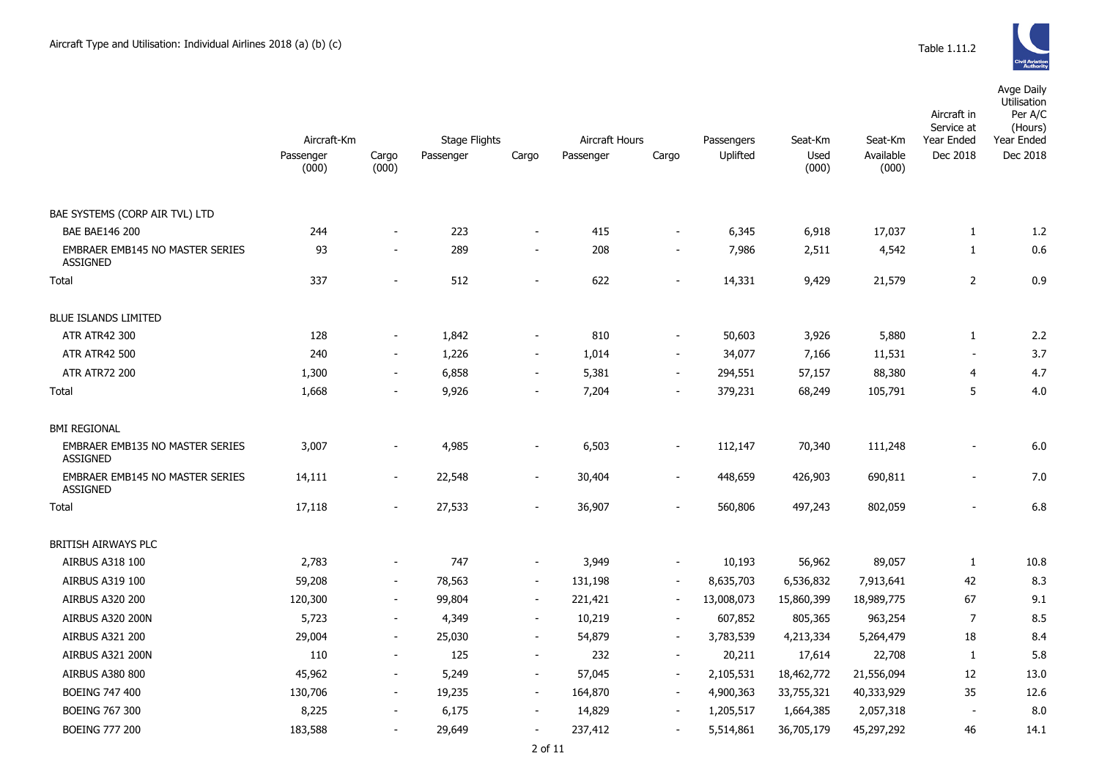Avge Daily Utilisation

|                                                           |                    |                          |               |                          |                |                          |            |               |                    | Aircraft in<br>Service at | Per A/C<br>(Hours) |
|-----------------------------------------------------------|--------------------|--------------------------|---------------|--------------------------|----------------|--------------------------|------------|---------------|--------------------|---------------------------|--------------------|
|                                                           | Aircraft-Km        |                          | Stage Flights |                          | Aircraft Hours |                          | Passengers | Seat-Km       | Seat-Km            | Year Ended                | Year Ended         |
|                                                           | Passenger<br>(000) | Cargo<br>(000)           | Passenger     | Cargo                    | Passenger      | Cargo                    | Uplifted   | Used<br>(000) | Available<br>(000) | Dec 2018                  | Dec 2018           |
| BAE SYSTEMS (CORP AIR TVL) LTD                            |                    |                          |               |                          |                |                          |            |               |                    |                           |                    |
| <b>BAE BAE146 200</b>                                     | 244                |                          | 223           | $\blacksquare$           | 415            | $\blacksquare$           | 6,345      | 6,918         | 17,037             | $\mathbf{1}$              | 1.2                |
| EMBRAER EMB145 NO MASTER SERIES<br><b>ASSIGNED</b>        | 93                 |                          | 289           | $\overline{\phantom{a}}$ | 208            | $\overline{\phantom{a}}$ | 7,986      | 2,511         | 4,542              | 1                         | 0.6                |
| Total                                                     | 337                |                          | 512           |                          | 622            |                          | 14,331     | 9,429         | 21,579             | $\overline{2}$            | 0.9                |
| <b>BLUE ISLANDS LIMITED</b>                               |                    |                          |               |                          |                |                          |            |               |                    |                           |                    |
| <b>ATR ATR42 300</b>                                      | 128                |                          | 1,842         | $\overline{\phantom{a}}$ | 810            | $\overline{\phantom{a}}$ | 50,603     | 3,926         | 5,880              | $\mathbf{1}$              | 2.2                |
| <b>ATR ATR42 500</b>                                      | 240                |                          | 1,226         | $\overline{\phantom{a}}$ | 1,014          | $\overline{\phantom{a}}$ | 34,077     | 7,166         | 11,531             |                           | 3.7                |
| <b>ATR ATR72 200</b>                                      | 1,300              | $\sim$                   | 6,858         | $\sim$                   | 5,381          | $\blacksquare$           | 294,551    | 57,157        | 88,380             | $\overline{4}$            | 4.7                |
| Total                                                     | 1,668              |                          | 9,926         | $\overline{\phantom{a}}$ | 7,204          | $\overline{\phantom{a}}$ | 379,231    | 68,249        | 105,791            | 5                         | 4.0                |
| <b>BMI REGIONAL</b>                                       |                    |                          |               |                          |                |                          |            |               |                    |                           |                    |
| <b>EMBRAER EMB135 NO MASTER SERIES</b><br><b>ASSIGNED</b> | 3,007              |                          | 4,985         | $\overline{\phantom{a}}$ | 6,503          | $\blacksquare$           | 112,147    | 70,340        | 111,248            | $\blacksquare$            | 6.0                |
| EMBRAER EMB145 NO MASTER SERIES<br><b>ASSIGNED</b>        | 14,111             | $\sim$                   | 22,548        | $\sim$                   | 30,404         | $\blacksquare$           | 448,659    | 426,903       | 690,811            | $\blacksquare$            | 7.0                |
| Total                                                     | 17,118             | $\blacksquare$           | 27,533        | $\blacksquare$           | 36,907         | $\blacksquare$           | 560,806    | 497,243       | 802,059            | $\blacksquare$            | 6.8                |
| <b>BRITISH AIRWAYS PLC</b>                                |                    |                          |               |                          |                |                          |            |               |                    |                           |                    |
| AIRBUS A318 100                                           | 2,783              | $\blacksquare$           | 747           | $\overline{\phantom{a}}$ | 3,949          | $\blacksquare$           | 10,193     | 56,962        | 89,057             | 1                         | 10.8               |
| AIRBUS A319 100                                           | 59,208             | $\sim$                   | 78,563        | $\blacksquare$           | 131,198        | $\blacksquare$           | 8,635,703  | 6,536,832     | 7,913,641          | 42                        | 8.3                |
| <b>AIRBUS A320 200</b>                                    | 120,300            | $\overline{\phantom{a}}$ | 99,804        | $\blacksquare$           | 221,421        | $\overline{\phantom{a}}$ | 13,008,073 | 15,860,399    | 18,989,775         | 67                        | 9.1                |
| AIRBUS A320 200N                                          | 5,723              | $\blacksquare$           | 4,349         | $\sim$                   | 10,219         | $\blacksquare$           | 607,852    | 805,365       | 963,254            | 7                         | 8.5                |
| <b>AIRBUS A321 200</b>                                    | 29,004             | $\sim$                   | 25,030        | $\sim$                   | 54,879         | $\blacksquare$           | 3,783,539  | 4,213,334     | 5,264,479          | 18                        | 8.4                |
| AIRBUS A321 200N                                          | 110                | $\sim$                   | 125           | $\sim$                   | 232            | $\sim$                   | 20,211     | 17,614        | 22,708             | 1                         | 5.8                |
| AIRBUS A380 800                                           | 45,962             | $\overline{\phantom{a}}$ | 5,249         | $\blacksquare$           | 57,045         | $\blacksquare$           | 2,105,531  | 18,462,772    | 21,556,094         | 12                        | 13.0               |
| <b>BOEING 747 400</b>                                     | 130,706            |                          | 19,235        | $\blacksquare$           | 164,870        | $\blacksquare$           | 4,900,363  | 33,755,321    | 40,333,929         | 35                        | 12.6               |

BOEING 767 300 8,225 - 6,175 - 14,829 - 1,205,517 1,664,385 2,057,318 - 8.0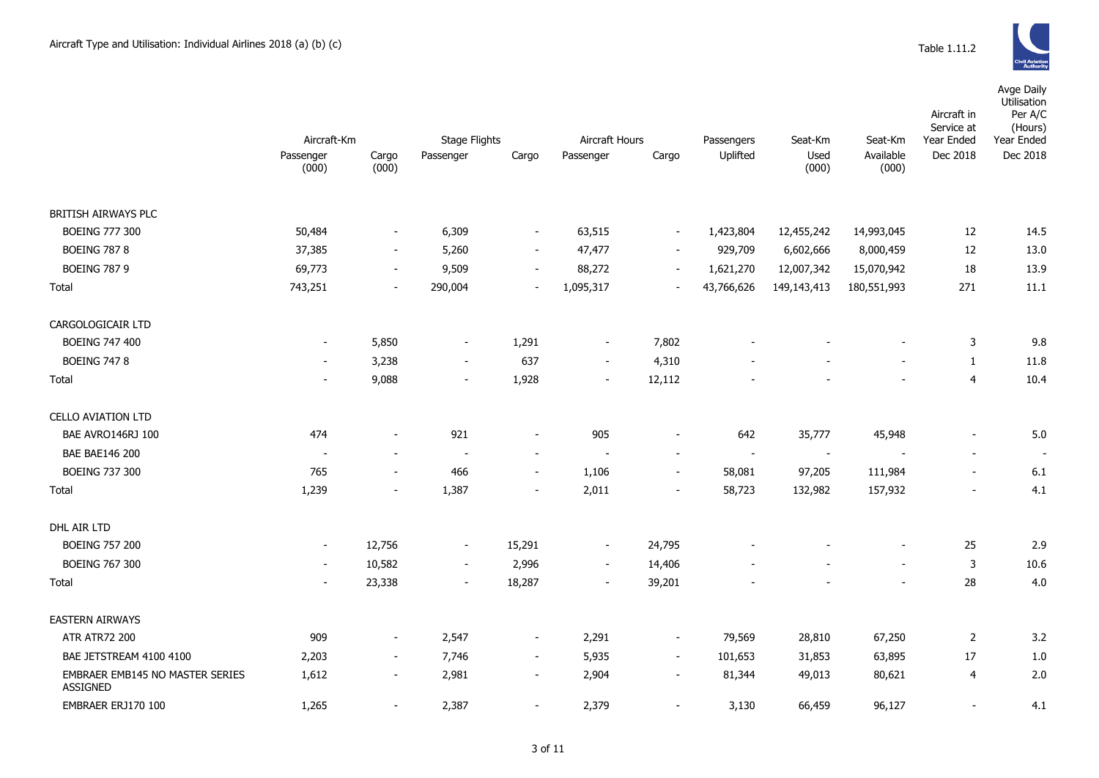|                                                    |                          |                          | Passengers               |                          |                          |                          |            |               |                    | Aircraft in<br>Service at | Avge Daily<br>Utilisation<br>Per A/C<br>(Hours) |  |
|----------------------------------------------------|--------------------------|--------------------------|--------------------------|--------------------------|--------------------------|--------------------------|------------|---------------|--------------------|---------------------------|-------------------------------------------------|--|
|                                                    | Aircraft-Km              |                          |                          | <b>Stage Flights</b>     |                          | Aircraft Hours           |            | Seat-Km       | Seat-Km            | Year Ended                | Year Ended                                      |  |
|                                                    | Passenger<br>(000)       | Cargo<br>(000)           | Passenger                | Cargo                    | Passenger                | Cargo                    | Uplifted   | Used<br>(000) | Available<br>(000) | Dec 2018                  | Dec 2018                                        |  |
| BRITISH AIRWAYS PLC                                |                          |                          |                          |                          |                          |                          |            |               |                    |                           |                                                 |  |
| <b>BOEING 777 300</b>                              | 50,484                   | $\overline{\phantom{a}}$ | 6,309                    | $\blacksquare$           | 63,515                   | $\blacksquare$           | 1,423,804  | 12,455,242    | 14,993,045         | 12                        | 14.5                                            |  |
| <b>BOEING 787 8</b>                                | 37,385                   | $\sim$                   | 5,260                    | $\blacksquare$           | 47,477                   | $\blacksquare$           | 929,709    | 6,602,666     | 8,000,459          | 12                        | 13.0                                            |  |
| <b>BOEING 787 9</b>                                | 69,773                   | $\blacksquare$           | 9,509                    | $\overline{\phantom{a}}$ | 88,272                   | $\overline{\phantom{a}}$ | 1,621,270  | 12,007,342    | 15,070,942         | 18                        | 13.9                                            |  |
| Total                                              | 743,251                  | $\sim$                   | 290,004                  | $\blacksquare$           | 1,095,317                | $\sim$                   | 43,766,626 | 149, 143, 413 | 180,551,993        | 271                       | 11.1                                            |  |
| CARGOLOGICAIR LTD                                  |                          |                          |                          |                          |                          |                          |            |               |                    |                           |                                                 |  |
| <b>BOEING 747 400</b>                              | $\overline{\phantom{a}}$ | 5,850                    | $\blacksquare$           | 1,291                    | $\sim$                   | 7,802                    |            |               |                    | 3                         | 9.8                                             |  |
| <b>BOEING 747 8</b>                                | $\blacksquare$           | 3,238                    | $\blacksquare$           | 637                      | $\sim$                   | 4,310                    |            |               |                    | $\mathbf{1}$              | 11.8                                            |  |
| Total                                              | $\overline{\phantom{a}}$ | 9,088                    | $\overline{\phantom{a}}$ | 1,928                    | $\blacksquare$           | 12,112                   |            |               |                    | $\overline{4}$            | 10.4                                            |  |
| <b>CELLO AVIATION LTD</b>                          |                          |                          |                          |                          |                          |                          |            |               |                    |                           |                                                 |  |
| BAE AVRO146RJ 100                                  | 474                      | $\overline{\phantom{a}}$ | 921                      | $\overline{a}$           | 905                      |                          | 642        | 35,777        | 45,948             |                           | 5.0                                             |  |
| <b>BAE BAE146 200</b>                              |                          | $\overline{\phantom{a}}$ | $\overline{\phantom{a}}$ | $\overline{\phantom{a}}$ | $\overline{\phantom{a}}$ | $\overline{\phantom{a}}$ | $\sim$     |               |                    | $\blacksquare$            | $\sim$                                          |  |
| <b>BOEING 737 300</b>                              | 765                      | $\overline{\phantom{a}}$ | 466                      | $\blacksquare$           | 1,106                    | $\overline{\phantom{a}}$ | 58,081     | 97,205        | 111,984            | $\blacksquare$            | 6.1                                             |  |
| Total                                              | 1,239                    | $\blacksquare$           | 1,387                    | $\blacksquare$           | 2,011                    | $\overline{\phantom{a}}$ | 58,723     | 132,982       | 157,932            | $\overline{\phantom{a}}$  | 4.1                                             |  |
| DHL AIR LTD                                        |                          |                          |                          |                          |                          |                          |            |               |                    |                           |                                                 |  |
| <b>BOEING 757 200</b>                              | $\blacksquare$           | 12,756                   | $\overline{\phantom{a}}$ | 15,291                   | $\blacksquare$           | 24,795                   |            |               |                    | 25                        | 2.9                                             |  |
| <b>BOEING 767 300</b>                              | $\overline{\phantom{a}}$ | 10,582                   | $\blacksquare$           | 2,996                    | $\overline{\phantom{a}}$ | 14,406                   |            |               |                    | 3                         | 10.6                                            |  |
| Total                                              | $\overline{\phantom{m}}$ | 23,338                   | $\overline{\phantom{a}}$ | 18,287                   | $\overline{\phantom{a}}$ | 39,201                   |            |               |                    | 28                        | 4.0                                             |  |
| EASTERN AIRWAYS                                    |                          |                          |                          |                          |                          |                          |            |               |                    |                           |                                                 |  |
| <b>ATR ATR72 200</b>                               | 909                      | $\overline{\phantom{a}}$ | 2,547                    | $\blacksquare$           | 2,291                    | $\overline{\phantom{a}}$ | 79,569     | 28,810        | 67,250             | 2                         | 3.2                                             |  |
| BAE JETSTREAM 4100 4100                            | 2,203                    | $\sim$                   | 7,746                    | $\sim$                   | 5,935                    | $\overline{\phantom{a}}$ | 101,653    | 31,853        | 63,895             | 17                        | 1.0                                             |  |
| EMBRAER EMB145 NO MASTER SERIES<br><b>ASSIGNED</b> | 1,612                    | $\blacksquare$           | 2,981                    | $\overline{\phantom{a}}$ | 2,904                    | $\blacksquare$           | 81,344     | 49,013        | 80,621             | $\overline{4}$            | 2.0                                             |  |
| EMBRAER ERJ170 100                                 | 1,265                    | $\sim$                   | 2,387                    | $\blacksquare$           | 2,379                    |                          | 3,130      | 66,459        | 96,127             |                           | 4.1                                             |  |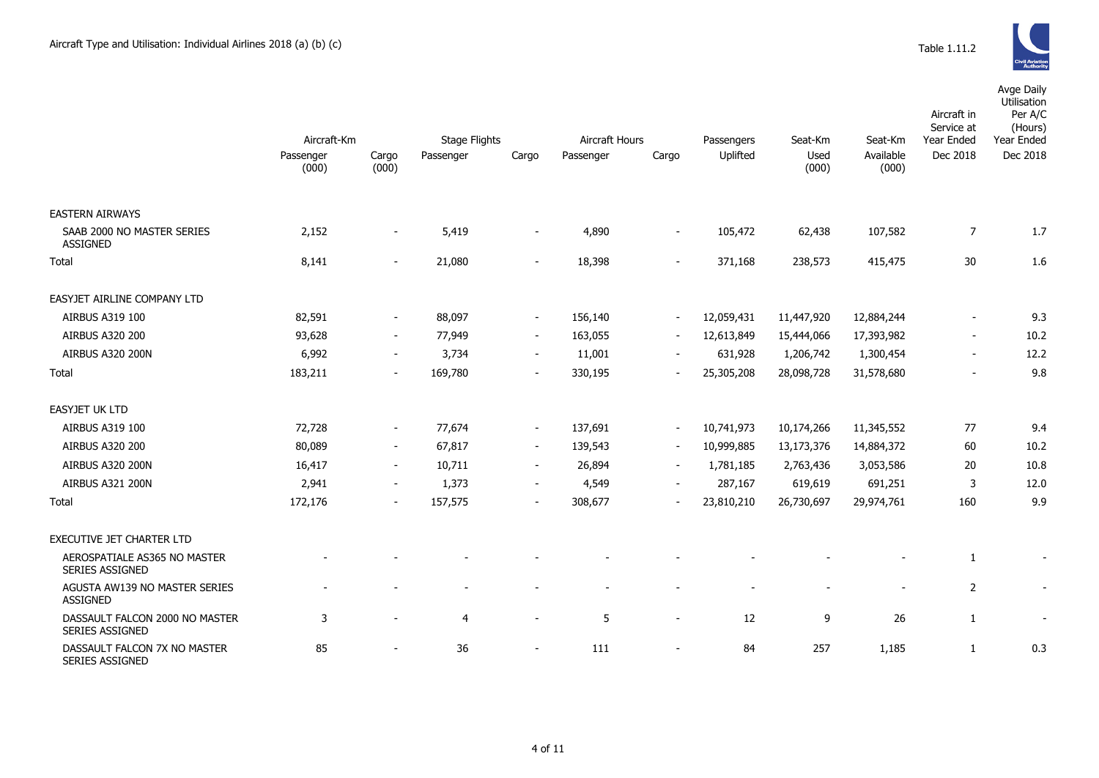|                                                          | Aircraft-Km        |                          | Aircraft Hours<br><b>Stage Flights</b> |                          |           |                          |                        |                          |                               | Aircraft in<br>Service at | Avge Daily<br>Utilisation<br>Per A/C<br>(Hours)<br>Year Ended |
|----------------------------------------------------------|--------------------|--------------------------|----------------------------------------|--------------------------|-----------|--------------------------|------------------------|--------------------------|-------------------------------|---------------------------|---------------------------------------------------------------|
|                                                          | Passenger<br>(000) | Cargo<br>(000)           | Passenger                              | Cargo                    | Passenger | Cargo                    | Passengers<br>Uplifted | Seat-Km<br>Used<br>(000) | Seat-Km<br>Available<br>(000) | Year Ended<br>Dec 2018    | Dec 2018                                                      |
|                                                          |                    |                          |                                        |                          |           |                          |                        |                          |                               |                           |                                                               |
| <b>EASTERN AIRWAYS</b>                                   |                    |                          |                                        |                          |           |                          |                        |                          |                               |                           |                                                               |
| SAAB 2000 NO MASTER SERIES<br><b>ASSIGNED</b>            | 2,152              | $\overline{\phantom{a}}$ | 5,419                                  | $\blacksquare$           | 4,890     | $\overline{\phantom{a}}$ | 105,472                | 62,438                   | 107,582                       | $\boldsymbol{7}$          | 1.7                                                           |
| Total                                                    | 8,141              | $\sim$                   | 21,080                                 | $\overline{\phantom{a}}$ | 18,398    | $\sim$                   | 371,168                | 238,573                  | 415,475                       | 30                        | 1.6                                                           |
| EASYJET AIRLINE COMPANY LTD                              |                    |                          |                                        |                          |           |                          |                        |                          |                               |                           |                                                               |
| AIRBUS A319 100                                          | 82,591             | $\overline{\phantom{a}}$ | 88,097                                 | $\sim$                   | 156,140   | $\overline{\phantom{a}}$ | 12,059,431             | 11,447,920               | 12,884,244                    | $\overline{\phantom{a}}$  | 9.3                                                           |
| AIRBUS A320 200                                          | 93,628             | $\sim$                   | 77,949                                 | $\blacksquare$           | 163,055   | $\overline{\phantom{a}}$ | 12,613,849             | 15,444,066               | 17,393,982                    | $\blacksquare$            | 10.2                                                          |
| AIRBUS A320 200N                                         | 6,992              | $\sim$                   | 3,734                                  | $\sim$                   | 11,001    | $\overline{\phantom{a}}$ | 631,928                | 1,206,742                | 1,300,454                     | $\overline{\phantom{a}}$  | 12.2                                                          |
| Total                                                    | 183,211            | $\overline{\phantom{a}}$ | 169,780                                | $\overline{\phantom{a}}$ | 330,195   | $\overline{\phantom{a}}$ | 25,305,208             | 28,098,728               | 31,578,680                    | $\overline{a}$            | 9.8                                                           |
| <b>EASYJET UK LTD</b>                                    |                    |                          |                                        |                          |           |                          |                        |                          |                               |                           |                                                               |
| AIRBUS A319 100                                          | 72,728             | $\overline{\phantom{a}}$ | 77,674                                 | $\overline{\phantom{a}}$ | 137,691   | $\overline{\phantom{a}}$ | 10,741,973             | 10,174,266               | 11,345,552                    | 77                        | 9.4                                                           |
| <b>AIRBUS A320 200</b>                                   | 80,089             | $\sim$                   | 67,817                                 | $\sim$                   | 139,543   | $\sim$                   | 10,999,885             | 13,173,376               | 14,884,372                    | 60                        | 10.2                                                          |
| AIRBUS A320 200N                                         | 16,417             | $\sim$                   | 10,711                                 | $\overline{\phantom{a}}$ | 26,894    | $\blacksquare$           | 1,781,185              | 2,763,436                | 3,053,586                     | 20                        | 10.8                                                          |
| AIRBUS A321 200N                                         | 2,941              | $\blacksquare$           | 1,373                                  | $\overline{\phantom{a}}$ | 4,549     | $\blacksquare$           | 287,167                | 619,619                  | 691,251                       | 3                         | 12.0                                                          |
| Total                                                    | 172,176            | $\overline{\phantom{a}}$ | 157,575                                | $\blacksquare$           | 308,677   | $\blacksquare$           | 23,810,210             | 26,730,697               | 29,974,761                    | 160                       | 9.9                                                           |
| EXECUTIVE JET CHARTER LTD                                |                    |                          |                                        |                          |           |                          |                        |                          |                               |                           |                                                               |
| AEROSPATIALE AS365 NO MASTER<br><b>SERIES ASSIGNED</b>   |                    |                          |                                        |                          |           |                          |                        |                          |                               | $\mathbf{1}$              |                                                               |
| AGUSTA AW139 NO MASTER SERIES<br><b>ASSIGNED</b>         |                    |                          | $\blacksquare$                         |                          |           |                          |                        | $\blacksquare$           | $\blacksquare$                | $\overline{2}$            |                                                               |
| DASSAULT FALCON 2000 NO MASTER<br><b>SERIES ASSIGNED</b> | 3                  | $\overline{\phantom{a}}$ | $\overline{4}$                         | $\overline{a}$           | 5         | $\overline{\phantom{a}}$ | 12                     | 9                        | 26                            | 1                         |                                                               |
| DASSAULT FALCON 7X NO MASTER<br>SERIES ASSIGNED          | 85                 | $\overline{\phantom{a}}$ | 36                                     | $\blacksquare$           | 111       | $\overline{\phantom{a}}$ | 84                     | 257                      | 1,185                         | $\mathbf{1}$              | 0.3                                                           |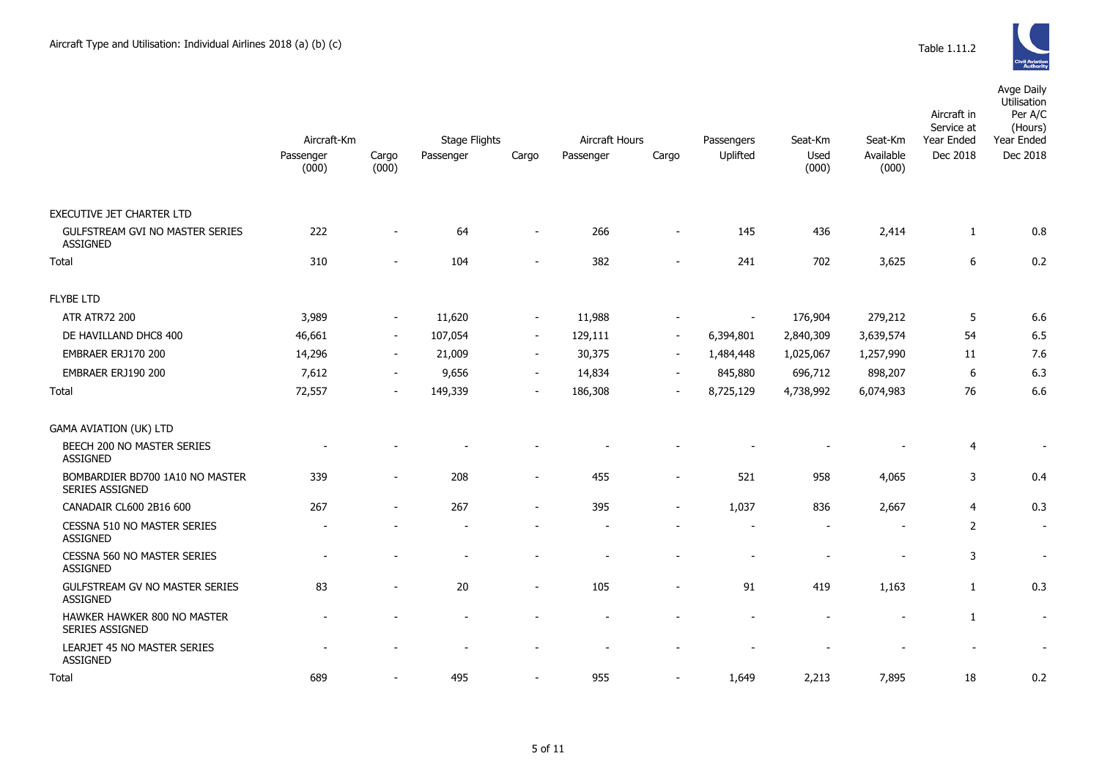|                                                           |                    |                          |                          |                          |                |                          |            |                |                    | Aircraft in<br>Service at | Avge Daily<br>Utilisation<br>Per A/C<br>(Hours) |
|-----------------------------------------------------------|--------------------|--------------------------|--------------------------|--------------------------|----------------|--------------------------|------------|----------------|--------------------|---------------------------|-------------------------------------------------|
|                                                           | Aircraft-Km        |                          | <b>Stage Flights</b>     |                          | Aircraft Hours |                          | Passengers | Seat-Km        | Seat-Km            | Year Ended                | Year Ended                                      |
|                                                           | Passenger<br>(000) | Cargo<br>(000)           | Passenger                | Cargo                    | Passenger      | Cargo                    | Uplifted   | Used<br>(000)  | Available<br>(000) | Dec 2018                  | Dec 2018                                        |
| EXECUTIVE JET CHARTER LTD                                 |                    |                          |                          |                          |                |                          |            |                |                    |                           |                                                 |
| GULFSTREAM GVI NO MASTER SERIES<br><b>ASSIGNED</b>        | 222                |                          | 64                       | $\overline{\phantom{0}}$ | 266            |                          | 145        | 436            | 2,414              | 1                         | 0.8                                             |
| <b>Total</b>                                              | 310                |                          | 104                      |                          | 382            | $\overline{a}$           | 241        | 702            | 3,625              | 6                         | 0.2                                             |
| <b>FLYBE LTD</b>                                          |                    |                          |                          |                          |                |                          |            |                |                    |                           |                                                 |
| <b>ATR ATR72 200</b>                                      | 3,989              | $\sim$                   | 11,620                   | $\blacksquare$           | 11,988         |                          |            | 176,904        | 279,212            | 5                         | 6.6                                             |
| DE HAVILLAND DHC8 400                                     | 46,661             | $\sim$                   | 107,054                  | $\sim$                   | 129,111        | $\overline{\phantom{a}}$ | 6,394,801  | 2,840,309      | 3,639,574          | 54                        | 6.5                                             |
| EMBRAER ERJ170 200                                        | 14,296             | $\sim$                   | 21,009                   | $\sim$                   | 30,375         | $\sim$                   | 1,484,448  | 1,025,067      | 1,257,990          | 11                        | 7.6                                             |
| EMBRAER ERJ190 200                                        | 7,612              | $\overline{\phantom{a}}$ | 9,656                    | $\blacksquare$           | 14,834         | $\overline{\phantom{a}}$ | 845,880    | 696,712        | 898,207            | 6                         | 6.3                                             |
| Total                                                     | 72,557             | $\sim$                   | 149,339                  | $\overline{\phantom{a}}$ | 186,308        | $\blacksquare$           | 8,725,129  | 4,738,992      | 6,074,983          | 76                        | 6.6                                             |
| <b>GAMA AVIATION (UK) LTD</b>                             |                    |                          |                          |                          |                |                          |            |                |                    |                           |                                                 |
| BEECH 200 NO MASTER SERIES<br><b>ASSIGNED</b>             |                    |                          |                          |                          |                |                          |            |                |                    | 4                         | $\overline{\phantom{a}}$                        |
| BOMBARDIER BD700 1A10 NO MASTER<br><b>SERIES ASSIGNED</b> | 339                | $\sim$                   | 208                      | $\blacksquare$           | 455            | $\blacksquare$           | 521        | 958            | 4,065              | 3                         | 0.4                                             |
| CANADAIR CL600 2B16 600                                   | 267                | $\sim$                   | 267                      | $\blacksquare$           | 395            | ÷                        | 1,037      | 836            | 2,667              | $\overline{4}$            | 0.3                                             |
| CESSNA 510 NO MASTER SERIES<br><b>ASSIGNED</b>            |                    |                          |                          |                          |                |                          |            | $\overline{a}$ |                    | $\overline{2}$            | $\sim$                                          |
| CESSNA 560 NO MASTER SERIES<br><b>ASSIGNED</b>            |                    |                          |                          |                          |                |                          |            |                |                    | 3                         | $\blacksquare$                                  |
| GULFSTREAM GV NO MASTER SERIES<br><b>ASSIGNED</b>         | 83                 |                          | 20                       | $\blacksquare$           | 105            | $\blacksquare$           | 91         | 419            | 1,163              | $\mathbf{1}$              | 0.3                                             |
| HAWKER HAWKER 800 NO MASTER<br><b>SERIES ASSIGNED</b>     |                    |                          | $\overline{\phantom{a}}$ | $\overline{\phantom{a}}$ |                |                          |            | $\overline{a}$ |                    | 1                         | $\overline{\phantom{a}}$                        |
| LEARJET 45 NO MASTER SERIES<br><b>ASSIGNED</b>            |                    |                          |                          |                          |                |                          |            |                |                    |                           |                                                 |

Total 689 - 495 - 955 - 1,649 2,213 7,895 18 0.2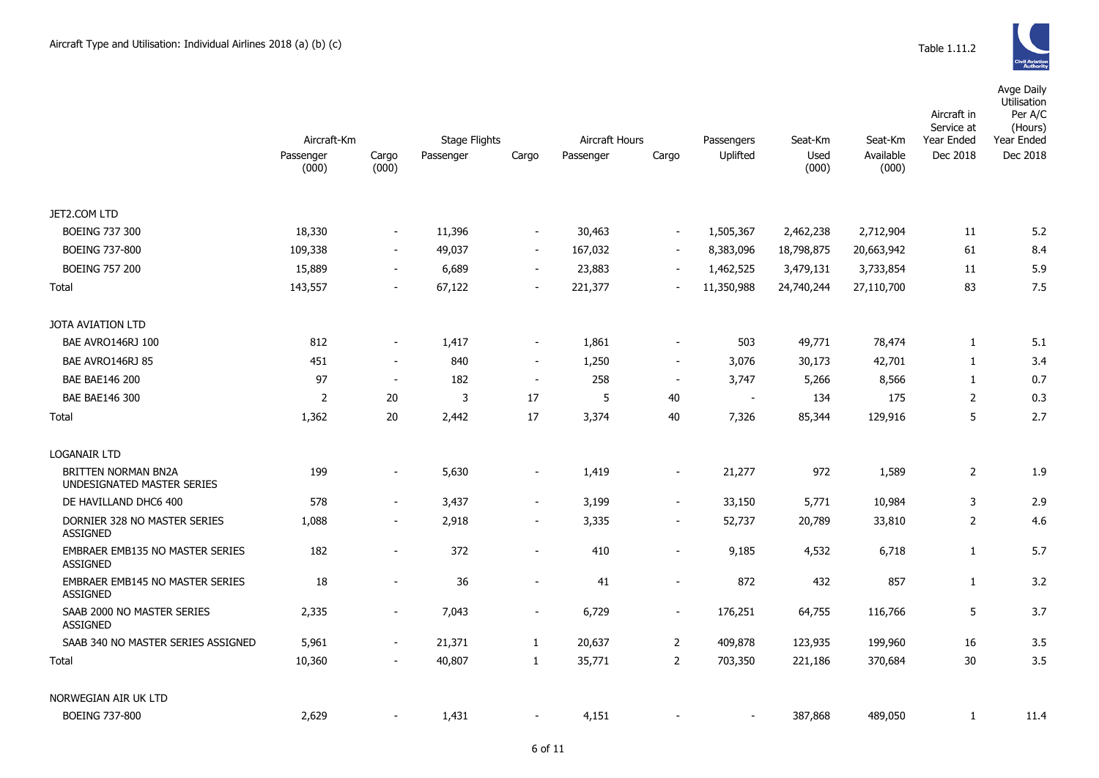Avge Daily

|                                                    | Aircraft-Km        |                          | Stage Flights |                              | <b>Aircraft Hours</b> |                          | Passengers               | Seat-Km       | Seat-Km            | Aircraft in<br>Service at<br>Year Ended | Utilisation<br>Per A/C<br>(Hours)<br>Year Ended |  |
|----------------------------------------------------|--------------------|--------------------------|---------------|------------------------------|-----------------------|--------------------------|--------------------------|---------------|--------------------|-----------------------------------------|-------------------------------------------------|--|
|                                                    | Passenger<br>(000) | Cargo<br>(000)           | Passenger     | Cargo                        | Passenger             | Cargo                    | Uplifted                 | Used<br>(000) | Available<br>(000) | Dec 2018                                | Dec 2018                                        |  |
| JET2.COM LTD                                       |                    |                          |               |                              |                       |                          |                          |               |                    |                                         |                                                 |  |
| <b>BOEING 737 300</b>                              | 18,330             | $\sim$                   | 11,396        | $\overline{\phantom{a}}$     | 30,463                | $\overline{\phantom{a}}$ | 1,505,367                | 2,462,238     | 2,712,904          | 11                                      | 5.2                                             |  |
| BOEING 737-800                                     | 109,338            | $\sim$                   | 49,037        | $\sim$                       | 167,032               | $\blacksquare$           | 8,383,096                | 18,798,875    | 20,663,942         | 61                                      | 8.4                                             |  |
| <b>BOEING 757 200</b>                              | 15,889             | $\sim$                   | 6,689         | $\sim$                       | 23,883                | $\overline{\phantom{a}}$ | 1,462,525                | 3,479,131     | 3,733,854          | 11                                      | 5.9                                             |  |
| Total                                              | 143,557            | $\sim$                   | 67,122        | $\blacksquare$               | 221,377               | ÷.                       | 11,350,988               | 24,740,244    | 27,110,700         | 83                                      | 7.5                                             |  |
| JOTA AVIATION LTD                                  |                    |                          |               |                              |                       |                          |                          |               |                    |                                         |                                                 |  |
| BAE AVRO146RJ 100                                  | 812                | $\sim$                   | 1,417         | $\overline{\phantom{a}}$     | 1,861                 | $\overline{\phantom{a}}$ | 503                      | 49,771        | 78,474             | $\mathbf{1}$                            | 5.1                                             |  |
| BAE AVRO146RJ 85                                   | 451                | $\sim$                   | 840           | $\overline{\phantom{a}}$     | 1,250                 | $\overline{\phantom{a}}$ | 3,076                    | 30,173        | 42,701             | 1                                       | 3.4                                             |  |
| <b>BAE BAE146 200</b>                              | 97                 | $\sim$                   | 182           | $\sim$                       | 258                   | $\blacksquare$           | 3,747                    | 5,266         | 8,566              | $\mathbf{1}$                            | 0.7                                             |  |
| <b>BAE BAE146 300</b>                              | $\overline{2}$     | 20                       | 3             | 17                           | 5                     | $40\,$                   | $\overline{\phantom{a}}$ | 134           | 175                | $\overline{2}$                          | 0.3                                             |  |
| Total                                              | 1,362              | 20                       | 2,442         | 17                           | 3,374                 | 40                       | 7,326                    | 85,344        | 129,916            | 5                                       | 2.7                                             |  |
| LOGANAIR LTD                                       |                    |                          |               |                              |                       |                          |                          |               |                    |                                         |                                                 |  |
| BRITTEN NORMAN BN2A<br>UNDESIGNATED MASTER SERIES  | 199                |                          | 5,630         | $\qquad \qquad \blacksquare$ | 1,419                 | $\overline{\phantom{a}}$ | 21,277                   | 972           | 1,589              | $\overline{2}$                          | 1.9                                             |  |
| DE HAVILLAND DHC6 400                              | 578                | $\sim$                   | 3,437         | $\blacksquare$               | 3,199                 | $\blacksquare$           | 33,150                   | 5,771         | 10,984             | 3                                       | 2.9                                             |  |
| DORNIER 328 NO MASTER SERIES<br><b>ASSIGNED</b>    | 1,088              | $\sim$                   | 2,918         | $\sim$                       | 3,335                 | $\blacksquare$           | 52,737                   | 20,789        | 33,810             | $\overline{2}$                          | 4.6                                             |  |
| <b>EMBRAER EMB135 NO MASTER SERIES</b><br>ASSIGNED | 182                | $\blacksquare$           | 372           | $\qquad \qquad \blacksquare$ | 410                   | $\blacksquare$           | 9,185                    | 4,532         | 6,718              | $\mathbf{1}$                            | 5.7                                             |  |
| EMBRAER EMB145 NO MASTER SERIES<br><b>ASSIGNED</b> | 18                 |                          | 36            | $\overline{\phantom{a}}$     | 41                    | $\sim$                   | 872                      | 432           | 857                | $\mathbf{1}$                            | 3.2                                             |  |
| SAAB 2000 NO MASTER SERIES<br><b>ASSIGNED</b>      | 2,335              | $\sim$                   | 7,043         | $\overline{\phantom{a}}$     | 6,729                 | $\overline{\phantom{a}}$ | 176,251                  | 64,755        | 116,766            | 5                                       | 3.7                                             |  |
| SAAB 340 NO MASTER SERIES ASSIGNED                 | 5,961              | $\sim$                   | 21,371        | $\mathbf{1}$                 | 20,637                | 2                        | 409,878                  | 123,935       | 199,960            | 16                                      | 3.5                                             |  |
| Total                                              | 10,360             | $\overline{\phantom{a}}$ | 40,807        | $\mathbf{1}$                 | 35,771                | $\overline{2}$           | 703,350                  | 221,186       | 370,684            | 30                                      | 3.5                                             |  |
| NORWEGIAN AIR UK LTD                               |                    |                          |               |                              |                       |                          |                          |               |                    |                                         |                                                 |  |
| BOEING 737-800                                     | 2,629              |                          | 1,431         |                              | 4,151                 |                          |                          | 387,868       | 489.050            | 1                                       | 11.4                                            |  |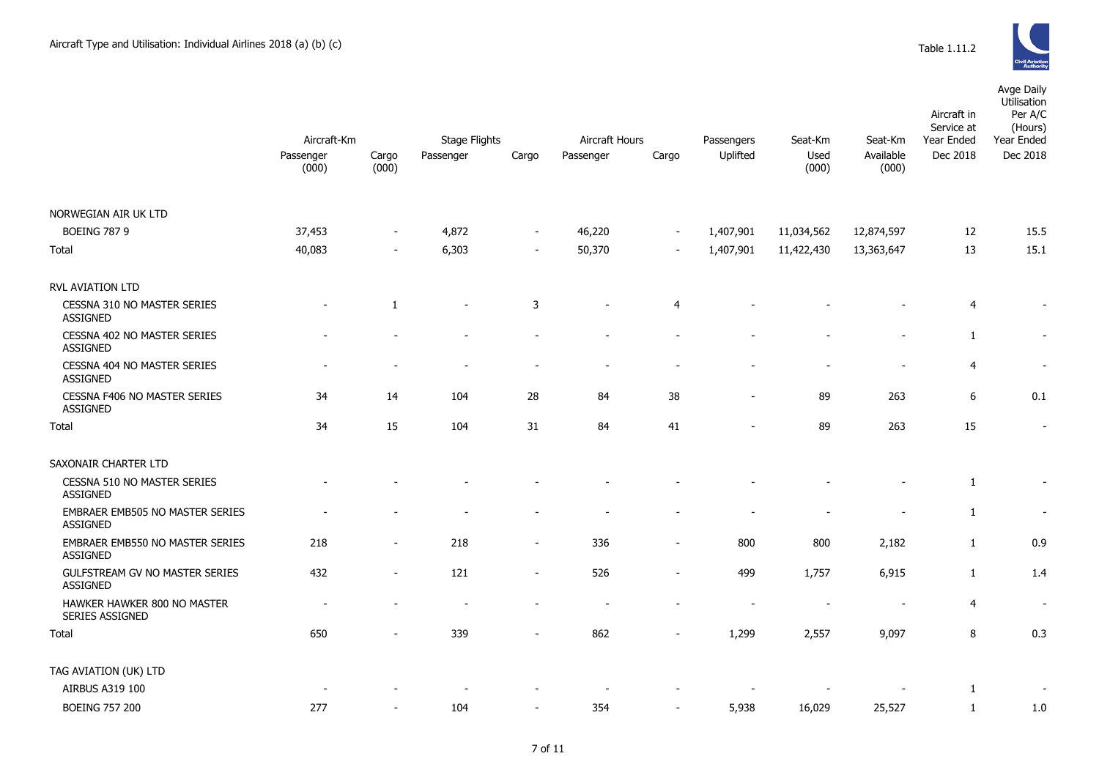| <b>Civil Aviation</b><br><b>Authority</b> |
|-------------------------------------------|

|                                                        |                                   |                          | Aircraft Hours                    |                          |                    |                          |                        |                          |                               | Aircraft in<br>Service at | Avge Daily<br>Utilisation<br>Per A/C<br>(Hours) |
|--------------------------------------------------------|-----------------------------------|--------------------------|-----------------------------------|--------------------------|--------------------|--------------------------|------------------------|--------------------------|-------------------------------|---------------------------|-------------------------------------------------|
|                                                        | Aircraft-Km<br>Passenger<br>(000) | Cargo<br>(000)           | <b>Stage Flights</b><br>Passenger | Cargo                    | Cargo<br>Passenger |                          | Passengers<br>Uplifted | Seat-Km<br>Used<br>(000) | Seat-Km<br>Available<br>(000) | Year Ended<br>Dec 2018    | Year Ended<br>Dec 2018                          |
|                                                        |                                   |                          |                                   |                          |                    |                          |                        |                          |                               |                           |                                                 |
| NORWEGIAN AIR UK LTD                                   |                                   |                          |                                   |                          |                    |                          |                        |                          |                               |                           |                                                 |
| <b>BOEING 787 9</b>                                    | 37,453                            | $\overline{\phantom{a}}$ | 4,872                             | $\blacksquare$           | 46,220             | $\mathbf{r}$             | 1,407,901              | 11,034,562               | 12,874,597                    | 12                        | 15.5                                            |
| Total                                                  | 40,083                            | $\blacksquare$           | 6,303                             | $\blacksquare$           | 50,370             | $\overline{\phantom{a}}$ | 1,407,901              | 11,422,430               | 13,363,647                    | 13                        | 15.1                                            |
| <b>RVL AVIATION LTD</b>                                |                                   |                          |                                   |                          |                    |                          |                        |                          |                               |                           |                                                 |
| CESSNA 310 NO MASTER SERIES<br><b>ASSIGNED</b>         |                                   | 1                        | $\overline{\phantom{a}}$          | 3                        |                    | 4                        |                        |                          |                               | 4                         | $\overline{\phantom{a}}$                        |
| CESSNA 402 NO MASTER SERIES<br><b>ASSIGNED</b>         |                                   |                          |                                   |                          |                    |                          |                        |                          |                               | 1                         | $\blacksquare$                                  |
| CESSNA 404 NO MASTER SERIES<br><b>ASSIGNED</b>         |                                   |                          |                                   |                          |                    |                          |                        |                          |                               | 4                         | $\overline{\phantom{a}}$                        |
| <b>CESSNA F406 NO MASTER SERIES</b><br><b>ASSIGNED</b> | 34                                | 14                       | 104                               | 28                       | 84                 | 38                       |                        | 89                       | 263                           | 6                         | 0.1                                             |
| Total                                                  | 34                                | 15                       | 104                               | 31                       | 84                 | 41                       |                        | 89                       | 263                           | 15                        | $\overline{\phantom{a}}$                        |
| SAXONAIR CHARTER LTD                                   |                                   |                          |                                   |                          |                    |                          |                        |                          |                               |                           |                                                 |
| CESSNA 510 NO MASTER SERIES<br><b>ASSIGNED</b>         |                                   |                          |                                   |                          |                    |                          |                        |                          |                               | 1                         | $\overline{\phantom{a}}$                        |
| EMBRAER EMB505 NO MASTER SERIES<br><b>ASSIGNED</b>     |                                   |                          |                                   |                          |                    |                          |                        |                          |                               | $\mathbf{1}$              | $\sim$                                          |
| EMBRAER EMB550 NO MASTER SERIES<br><b>ASSIGNED</b>     | 218                               | $\sim$                   | 218                               | $\overline{\phantom{a}}$ | 336                | $\blacksquare$           | 800                    | 800                      | 2,182                         | 1                         | 0.9                                             |
| GULFSTREAM GV NO MASTER SERIES<br><b>ASSIGNED</b>      | 432                               | $\sim$                   | 121                               | $\overline{\phantom{a}}$ | 526                | $\overline{a}$           | 499                    | 1,757                    | 6,915                         | $\mathbf{1}$              | 1.4                                             |
| HAWKER HAWKER 800 NO MASTER<br><b>SERIES ASSIGNED</b>  |                                   |                          |                                   |                          |                    |                          |                        |                          | $\overline{\phantom{a}}$      | 4                         | $\overline{\phantom{a}}$                        |
| Total                                                  | 650                               |                          | 339                               |                          | 862                |                          | 1,299                  | 2,557                    | 9,097                         | 8                         | 0.3                                             |
| TAG AVIATION (UK) LTD                                  |                                   |                          |                                   |                          |                    |                          |                        |                          |                               |                           |                                                 |
| AIRBUS A319 100                                        |                                   |                          |                                   |                          |                    |                          |                        |                          |                               | 1                         |                                                 |
| <b>BOEING 757 200</b>                                  | 277                               |                          | 104                               | $\sim$                   | 354                | $\sim$                   | 5,938                  | 16,029                   | 25,527                        | 1                         | 1.0                                             |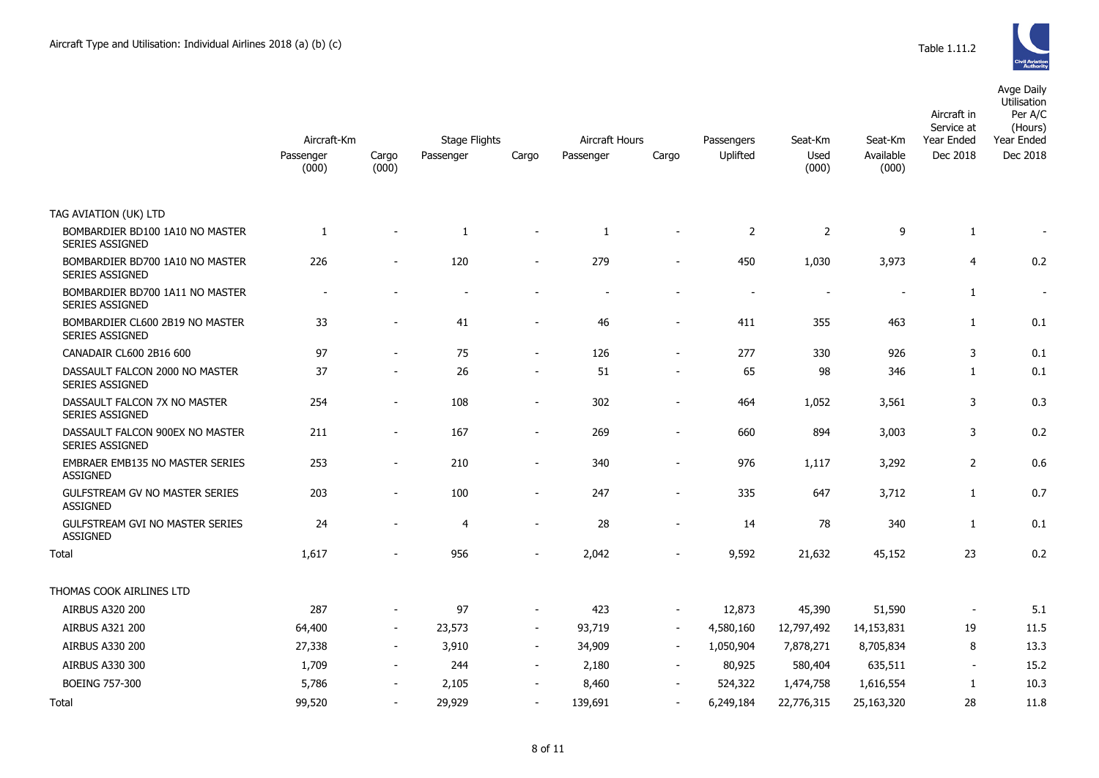

Avge Daily

|                                                           | Aircraft-Km        |                          | <b>Stage Flights</b> |                          | <b>Aircraft Hours</b> |                          | Seat-Km                | Seat-Km                  | Aircraft in<br>Service at<br>Year Ended | Utilisation<br>Per A/C<br>(Hours)<br>Year Ended |          |
|-----------------------------------------------------------|--------------------|--------------------------|----------------------|--------------------------|-----------------------|--------------------------|------------------------|--------------------------|-----------------------------------------|-------------------------------------------------|----------|
|                                                           | Passenger<br>(000) | Cargo<br>(000)           | Passenger            | Cargo                    | Passenger             | Cargo                    | Passengers<br>Uplifted | Used<br>(000)            | Available<br>(000)                      | Dec 2018                                        | Dec 2018 |
| TAG AVIATION (UK) LTD                                     |                    |                          |                      |                          |                       |                          |                        |                          |                                         |                                                 |          |
| BOMBARDIER BD100 1A10 NO MASTER<br><b>SERIES ASSIGNED</b> | 1                  |                          | $\mathbf{1}$         |                          | -1                    |                          | $\overline{2}$         | 2                        | 9                                       | 1                                               |          |
| BOMBARDIER BD700 1A10 NO MASTER<br>SERIES ASSIGNED        | 226                | $\sim$                   | 120                  | $\blacksquare$           | 279                   | $\sim$                   | 450                    | 1,030                    | 3,973                                   | 4                                               | 0.2      |
| BOMBARDIER BD700 1A11 NO MASTER<br>SERIES ASSIGNED        |                    |                          |                      |                          |                       |                          |                        | $\overline{\phantom{a}}$ |                                         | 1                                               |          |
| BOMBARDIER CL600 2B19 NO MASTER<br>SERIES ASSIGNED        | 33                 |                          | 41                   |                          | 46                    |                          | 411                    | 355                      | 463                                     | 1                                               | 0.1      |
| CANADAIR CL600 2B16 600                                   | 97                 |                          | 75                   | $\blacksquare$           | 126                   |                          | 277                    | 330                      | 926                                     | 3                                               | 0.1      |
| DASSAULT FALCON 2000 NO MASTER<br><b>SERIES ASSIGNED</b>  | 37                 | $\overline{\phantom{a}}$ | 26                   | $\overline{\phantom{a}}$ | 51                    | $\sim$                   | 65                     | 98                       | 346                                     | 1                                               | 0.1      |
| DASSAULT FALCON 7X NO MASTER<br>SERIES ASSIGNED           | 254                |                          | 108                  | $\overline{a}$           | 302                   |                          | 464                    | 1,052                    | 3,561                                   | 3                                               | 0.3      |
| DASSAULT FALCON 900EX NO MASTER<br><b>SERIES ASSIGNED</b> | 211                |                          | 167                  | $\blacksquare$           | 269                   |                          | 660                    | 894                      | 3,003                                   | 3                                               | 0.2      |
| EMBRAER EMB135 NO MASTER SERIES<br><b>ASSIGNED</b>        | 253                | $\blacksquare$           | 210                  | $\blacksquare$           | 340                   | $\overline{\phantom{a}}$ | 976                    | 1,117                    | 3,292                                   | $\overline{2}$                                  | 0.6      |
| GULFSTREAM GV NO MASTER SERIES<br><b>ASSIGNED</b>         | 203                | $\sim$                   | 100                  | $\blacksquare$           | 247                   | $\overline{\phantom{a}}$ | 335                    | 647                      | 3,712                                   | 1                                               | 0.7      |
| <b>GULFSTREAM GVI NO MASTER SERIES</b><br><b>ASSIGNED</b> | 24                 |                          | $\overline{4}$       | $\overline{\phantom{a}}$ | 28                    | $\blacksquare$           | 14                     | 78                       | 340                                     | 1                                               | 0.1      |
| Total                                                     | 1,617              |                          | 956                  | $\overline{a}$           | 2,042                 |                          | 9,592                  | 21,632                   | 45,152                                  | 23                                              | 0.2      |
| THOMAS COOK AIRLINES LTD                                  |                    |                          |                      |                          |                       |                          |                        |                          |                                         |                                                 |          |
| AIRBUS A320 200                                           | 287                |                          | 97                   | $\overline{\phantom{a}}$ | 423                   |                          | 12,873                 | 45,390                   | 51,590                                  | $\blacksquare$                                  | 5.1      |
| <b>AIRBUS A321 200</b>                                    | 64,400             | $\sim$                   | 23,573               | $\sim$                   | 93,719                | $\sim$                   | 4,580,160              | 12,797,492               | 14,153,831                              | 19                                              | 11.5     |
| AIRBUS A330 200                                           | 27,338             | $\sim$                   | 3,910                | $\sim$                   | 34,909                | $\sim$                   | 1,050,904              | 7,878,271                | 8,705,834                               | 8                                               | 13.3     |
| <b>AIRBUS A330 300</b>                                    | 1,709              |                          | 244                  | $\overline{\phantom{a}}$ | 2,180                 | $\sim$                   | 80,925                 | 580,404                  | 635,511                                 | $\overline{\phantom{a}}$                        | 15.2     |
| BOEING 757-300                                            | 5,786              | $\sim$                   | 2,105                | $\blacksquare$           | 8,460                 | $\sim$                   | 524,322                | 1,474,758                | 1,616,554                               | $\mathbf{1}$                                    | 10.3     |
|                                                           |                    |                          |                      |                          |                       |                          |                        |                          |                                         |                                                 |          |

105 - 139,520 - 29,929 - 139,691 - 29,929 - 139,691 - 5,249,184 22,776,315 25,163,320 - 28 11.8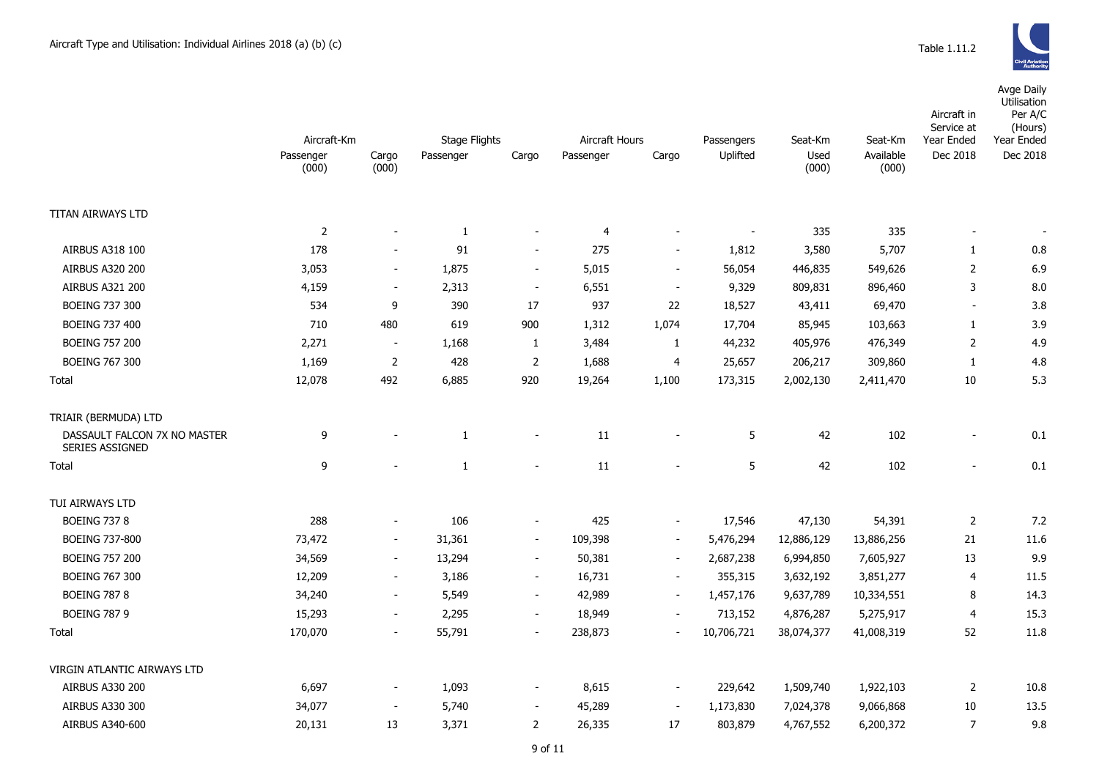

|                                                        |                                   |                          | <b>Stage Flights</b><br><b>Aircraft Hours</b> |                          |                |                          |                        | Seat-Km       | Seat-Km            | Aircraft in<br>Service at | Avge Daily<br>Utilisation<br>Per A/C<br>(Hours)<br>Year Ended |
|--------------------------------------------------------|-----------------------------------|--------------------------|-----------------------------------------------|--------------------------|----------------|--------------------------|------------------------|---------------|--------------------|---------------------------|---------------------------------------------------------------|
|                                                        | Aircraft-Km<br>Passenger<br>(000) | Cargo<br>(000)           | Passenger                                     | Cargo                    | Passenger      | Cargo                    | Passengers<br>Uplifted | Used<br>(000) | Available<br>(000) | Year Ended<br>Dec 2018    | Dec 2018                                                      |
|                                                        |                                   |                          |                                               |                          |                |                          |                        |               |                    |                           |                                                               |
| TITAN AIRWAYS LTD                                      |                                   |                          |                                               |                          |                |                          |                        |               |                    |                           |                                                               |
|                                                        | $\overline{2}$                    |                          | $\mathbf{1}$                                  |                          | $\overline{4}$ | $\sim$                   |                        | 335           | 335                | $\sim$                    |                                                               |
| <b>AIRBUS A318 100</b>                                 | 178                               |                          | 91                                            | $\blacksquare$           | 275            | $\overline{\phantom{a}}$ | 1,812                  | 3,580         | 5,707              | $\mathbf{1}$              | 0.8                                                           |
| <b>AIRBUS A320 200</b>                                 | 3,053                             | $\overline{\phantom{a}}$ | 1,875                                         | $\blacksquare$           | 5,015          | $\sim$                   | 56,054                 | 446,835       | 549,626            | $\overline{2}$            | 6.9                                                           |
| AIRBUS A321 200                                        | 4,159                             | $\blacksquare$           | 2,313                                         | $\blacksquare$           | 6,551          | $\sim$                   | 9,329                  | 809,831       | 896,460            | 3                         | 8.0                                                           |
| <b>BOEING 737 300</b>                                  | 534                               | 9                        | 390                                           | 17                       | 937            | 22                       | 18,527                 | 43,411        | 69,470             | $\blacksquare$            | 3.8                                                           |
| <b>BOEING 737 400</b>                                  | 710                               | 480                      | 619                                           | 900                      | 1,312          | 1,074                    | 17,704                 | 85,945        | 103,663            | $\mathbf{1}$              | 3.9                                                           |
| <b>BOEING 757 200</b>                                  | 2,271                             | $\overline{\phantom{a}}$ | 1,168                                         | $\mathbf{1}$             | 3,484          | $\mathbf{1}$             | 44,232                 | 405,976       | 476,349            | $\overline{2}$            | 4.9                                                           |
| <b>BOEING 767 300</b>                                  | 1,169                             | $\overline{2}$           | 428                                           | $\overline{2}$           | 1,688          | 4                        | 25,657                 | 206,217       | 309,860            | $\mathbf{1}$              | 4.8                                                           |
| Total                                                  | 12,078                            | 492                      | 6,885                                         | 920                      | 19,264         | 1,100                    | 173,315                | 2,002,130     | 2,411,470          | 10                        | 5.3                                                           |
| TRIAIR (BERMUDA) LTD                                   |                                   |                          |                                               |                          |                |                          |                        |               |                    |                           |                                                               |
| DASSAULT FALCON 7X NO MASTER<br><b>SERIES ASSIGNED</b> | 9                                 |                          | $\mathbf{1}$                                  | $\overline{\phantom{a}}$ | 11             |                          | 5                      | 42            | 102                | $\overline{a}$            | 0.1                                                           |
| Total                                                  | 9                                 |                          | $\mathbf{1}$                                  | $\blacksquare$           | 11             |                          | 5                      | 42            | 102                |                           | 0.1                                                           |
| TUI AIRWAYS LTD                                        |                                   |                          |                                               |                          |                |                          |                        |               |                    |                           |                                                               |
| <b>BOEING 737 8</b>                                    | 288                               | $\blacksquare$           | 106                                           | $\blacksquare$           | 425            | $\overline{\phantom{a}}$ | 17,546                 | 47,130        | 54,391             | $\overline{2}$            | 7.2                                                           |
| <b>BOEING 737-800</b>                                  | 73,472                            | $\overline{\phantom{a}}$ | 31,361                                        | $\blacksquare$           | 109,398        | $\sim$                   | 5,476,294              | 12,886,129    | 13,886,256         | 21                        | 11.6                                                          |
| <b>BOEING 757 200</b>                                  | 34,569                            | $\blacksquare$           | 13,294                                        | $\blacksquare$           | 50,381         | $\blacksquare$           | 2,687,238              | 6,994,850     | 7,605,927          | 13                        | 9.9                                                           |
| <b>BOEING 767 300</b>                                  | 12,209                            | $\overline{\phantom{a}}$ | 3,186                                         | $\blacksquare$           | 16,731         | $\blacksquare$           | 355,315                | 3,632,192     | 3,851,277          | $\overline{4}$            | 11.5                                                          |
| <b>BOEING 787 8</b>                                    | 34,240                            | $\sim$                   | 5,549                                         | $\overline{\phantom{a}}$ | 42,989         | $\blacksquare$           | 1,457,176              | 9,637,789     | 10,334,551         | 8                         | 14.3                                                          |
| <b>BOEING 787 9</b>                                    | 15,293                            | $\blacksquare$           | 2,295                                         | $\blacksquare$           | 18,949         |                          | 713,152                | 4,876,287     | 5,275,917          | $\overline{4}$            | 15.3                                                          |
| Total                                                  | 170,070                           | $\overline{\phantom{a}}$ | 55,791                                        | $\overline{\phantom{a}}$ | 238,873        |                          | 10,706,721             | 38,074,377    | 41,008,319         | 52                        | 11.8                                                          |
| VIRGIN ATLANTIC AIRWAYS LTD                            |                                   |                          |                                               |                          |                |                          |                        |               |                    |                           |                                                               |
| AIRBUS A330 200                                        | 6,697                             |                          | 1,093                                         | $\overline{\phantom{a}}$ | 8,615          |                          | 229,642                | 1,509,740     | 1,922,103          | $\overline{2}$            | 10.8                                                          |
| AIRBUS A330 300                                        | 34,077                            | $\overline{\phantom{a}}$ | 5,740                                         |                          | 45,289         | $\blacksquare$           | 1,173,830              | 7,024,378     | 9,066,868          | 10                        | 13.5                                                          |
| AIRBUS A340-600                                        | 20,131                            | 13                       | 3,371                                         | $\overline{2}$           | 26,335         | 17                       | 803,879                | 4,767,552     | 6,200,372          | $\overline{7}$            | 9.8                                                           |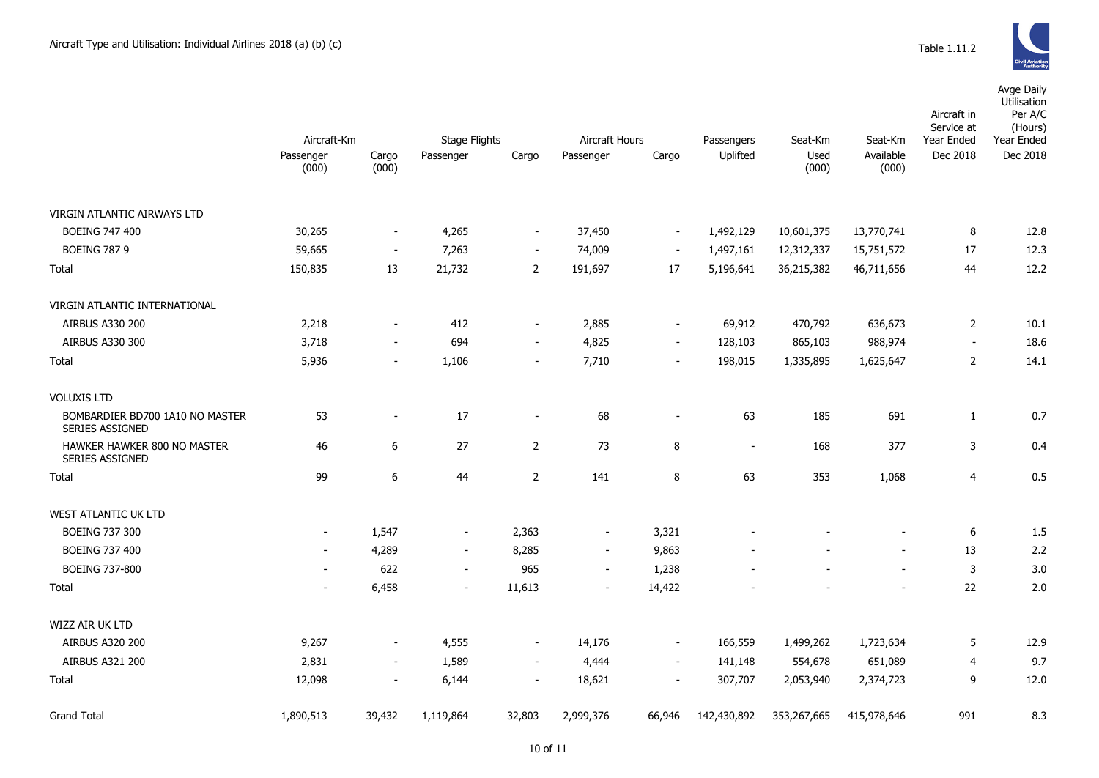Avge Daily

|                                                    | Aircraft-Km              |                          | <b>Stage Flights</b>     |                          | <b>Aircraft Hours</b>    |                          | Passengers     | Seat-Km       | Seat-Km            | Aircraft in<br>Service at<br>Year Ended | Utilisation<br>Per A/C<br>(Hours)<br>Year Ended |
|----------------------------------------------------|--------------------------|--------------------------|--------------------------|--------------------------|--------------------------|--------------------------|----------------|---------------|--------------------|-----------------------------------------|-------------------------------------------------|
|                                                    | Passenger<br>(000)       | Cargo<br>(000)           | Passenger                | Cargo                    | Passenger                | Cargo                    | Uplifted       | Used<br>(000) | Available<br>(000) | Dec 2018                                | Dec 2018                                        |
| VIRGIN ATLANTIC AIRWAYS LTD                        |                          |                          |                          |                          |                          |                          |                |               |                    |                                         |                                                 |
| <b>BOEING 747 400</b>                              | 30,265                   | $\blacksquare$           | 4,265                    | $\blacksquare$           | 37,450                   | $\sim$                   | 1,492,129      | 10,601,375    | 13,770,741         | 8                                       | 12.8                                            |
| <b>BOEING 787 9</b>                                | 59,665                   | $\blacksquare$           | 7,263                    | $\blacksquare$           | 74,009                   | $\blacksquare$           | 1,497,161      | 12,312,337    | 15,751,572         | 17                                      | 12.3                                            |
| Total                                              | 150,835                  | 13                       | 21,732                   | $\overline{2}$           | 191,697                  | 17                       | 5,196,641      | 36,215,382    | 46,711,656         | 44                                      | 12.2                                            |
| VIRGIN ATLANTIC INTERNATIONAL                      |                          |                          |                          |                          |                          |                          |                |               |                    |                                         |                                                 |
| AIRBUS A330 200                                    | 2,218                    | $\blacksquare$           | 412                      | $\overline{\phantom{a}}$ | 2,885                    | $\blacksquare$           | 69,912         | 470,792       | 636,673            | $\overline{2}$                          | 10.1                                            |
| <b>AIRBUS A330 300</b>                             | 3,718                    | $\blacksquare$           | 694                      | $\overline{\phantom{a}}$ | 4,825                    | $\overline{\phantom{a}}$ | 128,103        | 865,103       | 988,974            | $\blacksquare$                          | 18.6                                            |
| Total                                              | 5,936                    | $\overline{\phantom{a}}$ | 1,106                    | $\overline{\phantom{a}}$ | 7,710                    | $\overline{\phantom{a}}$ | 198,015        | 1,335,895     | 1,625,647          | $\overline{2}$                          | 14.1                                            |
| <b>VOLUXIS LTD</b>                                 |                          |                          |                          |                          |                          |                          |                |               |                    |                                         |                                                 |
| BOMBARDIER BD700 1A10 NO MASTER<br>SERIES ASSIGNED | 53                       | $\overline{a}$           | 17                       | $\blacksquare$           | 68                       | $\overline{a}$           | 63             | 185           | 691                | $\mathbf{1}$                            | 0.7                                             |
| HAWKER HAWKER 800 NO MASTER<br>SERIES ASSIGNED     | 46                       | 6                        | 27                       | $\mathbf{2}$             | 73                       | 8                        | $\blacksquare$ | 168           | 377                | 3                                       | 0.4                                             |
| Total                                              | 99                       | 6                        | 44                       | $\overline{2}$           | 141                      | 8                        | 63             | 353           | 1,068              | $\overline{4}$                          | 0.5                                             |
| WEST ATLANTIC UK LTD                               |                          |                          |                          |                          |                          |                          |                |               |                    |                                         |                                                 |
| <b>BOEING 737 300</b>                              | $\overline{\phantom{a}}$ | 1,547                    | $\blacksquare$           | 2,363                    | $\overline{\phantom{a}}$ | 3,321                    |                |               |                    | 6                                       | 1.5                                             |
| <b>BOEING 737 400</b>                              | $\overline{\phantom{a}}$ | 4,289                    | $\sim$                   | 8,285                    | $\blacksquare$           | 9,863                    |                |               | $\blacksquare$     | 13                                      | 2.2                                             |
| <b>BOEING 737-800</b>                              | $\overline{\phantom{a}}$ | 622                      | $\blacksquare$           | 965                      | $\blacksquare$           | 1,238                    |                |               | $\sim$             | $\mathsf 3$                             | 3.0                                             |
| Total                                              | $\overline{\phantom{a}}$ | 6,458                    | $\overline{\phantom{a}}$ | 11,613                   | $\overline{\phantom{a}}$ | 14,422                   |                |               |                    | 22                                      | 2.0                                             |
| <b>WIZZ AIR UK LTD</b>                             |                          |                          |                          |                          |                          |                          |                |               |                    |                                         |                                                 |
| <b>AIRBUS A320 200</b>                             | 9,267                    | $\overline{\phantom{a}}$ | 4,555                    | $\blacksquare$           | 14,176                   | $\overline{\phantom{a}}$ | 166,559        | 1,499,262     | 1,723,634          | 5                                       | 12.9                                            |
| <b>AIRBUS A321 200</b>                             | 2,831                    | $\sim$                   | 1,589                    | $\sim$                   | 4,444                    | $\blacksquare$           | 141,148        | 554,678       | 651,089            | $\overline{4}$                          | 9.7                                             |
| Total                                              | 12,098                   | $\overline{\phantom{a}}$ | 6,144                    | $\overline{\phantom{a}}$ | 18,621                   | $\blacksquare$           | 307,707        | 2,053,940     | 2,374,723          | 9                                       | 12.0                                            |
| <b>Grand Total</b>                                 | 1,890,513                | 39,432                   | 1,119,864                | 32,803                   | 2,999,376                | 66,946                   | 142,430,892    | 353,267,665   | 415,978,646        | 991                                     | 8.3                                             |